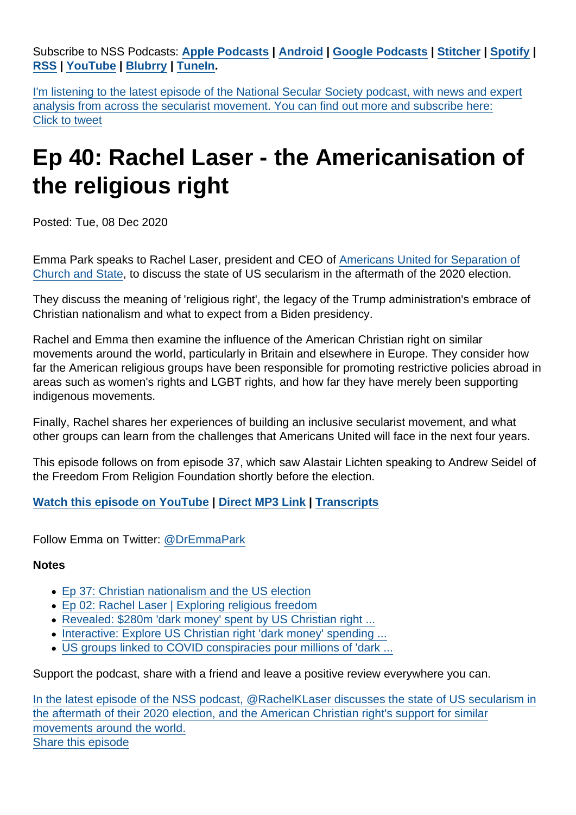Subscribe to NSS Podcasts: [Apple Podcasts](https://itunes.apple.com/gb/podcast/national-secular-society-podcast/id1452493582?mt=2) [|](https://twitter.com/intent/tweet?url=https://www.secularism.org.uk/podcast/2020/11/ep-40&text=In+the+latest+episode+of+the+NSS+podcast,+@RachelKLaser+discusses+the+state+of+US+secularism+in+the+aftermath+of+their+2020+election,+and+the+American+Christian+right) [Android](https://subscribeonandroid.com/secularism.blubrry.net/feed/podcast/) [|](https://twitter.com/intent/tweet?url=https://www.secularism.org.uk/podcast/2020/11/ep-40&text=In+the+latest+episode+of+the+NSS+podcast,+@RachelKLaser+discusses+the+state+of+US+secularism+in+the+aftermath+of+their+2020+election,+and+the+American+Christian+right) [Google Podcasts](https://www.google.com/podcasts?feed=aHR0cHM6Ly9zZWN1bGFyaXNtLmJsdWJycnkubmV0L2ZlZWQvcG9kY2FzdC8) [|](https://twitter.com/intent/tweet?url=https://www.secularism.org.uk/podcast/2020/11/ep-40&text=In+the+latest+episode+of+the+NSS+podcast,+@RachelKLaser+discusses+the+state+of+US+secularism+in+the+aftermath+of+their+2020+election,+and+the+American+Christian+right) [Stitcher](https://www.stitcher.com/podcast/national-secular-society-podcast) [| S](https://twitter.com/intent/tweet?url=https://www.secularism.org.uk/podcast/2020/11/ep-40&text=In+the+latest+episode+of+the+NSS+podcast,+@RachelKLaser+discusses+the+state+of+US+secularism+in+the+aftermath+of+their+2020+election,+and+the+American+Christian+right)[potify](https://open.spotify.com/show/4YUdgznRhQwCtJRRLwbeXU) | [RSS](https://secularism.blubrry.net/feed/podcast/) | [YouTube](http://bit.ly/2TFGMDO) | [Blubrry](https://www.blubrry.com/secularism/) | [TuneIn](https://tunein.com/podcasts/News--Politics-Podcasts/National-Secular-Society-Podcast-p1188177/).

I'm listening to the latest episode of the National Secular Society podcast, with news and expert analysis from across the secularist movement. You can find out more and subscribe here: Click to tweet

## Ep 40: Rachel Laser - the Americanisation of the religious right

Posted: Tue, 08 Dec 2020

Emma Park speaks to Rachel Laser, president and CEO of [Americans United for Separation of](https://www.au.org/) [Church and State](https://www.au.org/), to discuss the state of US secularism in the aftermath of the 2020 election.

They discuss the meaning of 'religious right', the legacy of the Trump administration's embrace of Christian nationalism and what to expect from a Biden presidency.

Rachel and Emma then examine the influence of the American Christian right on similar movements around the world, particularly in Britain and elsewhere in Europe. They consider how far the American religious groups have been responsible for promoting restrictive policies abroad in areas such as women's rights and LGBT rights, and how far they have merely been supporting indigenous movements.

Finally, Rachel shares her experiences of building an inclusive secularist movement, and what other groups can learn from the challenges that Americans United will face in the next four years.

This episode follows on from episode 37, which saw Alastair Lichten speaking to Andrew Seidel of the Freedom From Religion Foundation shortly before the election.

[Watch this episode on YouTube](https://www.youtube.com/watch?v=fMfoDgpCYvg) | [Direct MP3 Link](https://content.blubrry.com/secularism/Ep_40.mp3) | [Transcripts](https://www.secularism.org.uk/transcripts)

Follow Emma on Twitter: [@DrEmmaPark](https://twitter.com/DrEmmaPark)

**Notes** 

- [Ep 37: Christian nationalism and the US election](https://www.secularism.org.uk/podcast/2020/10/ep37)
- [Ep 02: Rachel Laser | Exploring religious freedom](https://www.secularism.org.uk/podcast/2019/01/rachel-laser-exploring-religious-freedom-episode-02)
- [Revealed: \\$280m 'dark money' spent by US Christian right ...](https://www.opendemocracy.net/en/5050/trump-us-christian-spending-global-revealed/)
- [Interactive: Explore US Christian right 'dark money' spending ...](https://www.opendemocracy.net/en/5050/interactive-explore-us-christian-right-dark-money-spending-globally/)
- [US groups linked to COVID conspiracies pour millions of 'dark ...](https://www.opendemocracy.net/en/5050/us-groups-linked-to-covid-conspiracies-pour-millions-of-dark-money-into-latin-america/)

Support the podcast, share with a friend and leave a positive review everywhere you can.

In the latest episode of the NSS podcast, @RachelKLaser discusses the state of US secularism in the aftermath of their 2020 election, and the American Christian right's support for similar movements around the world. Share this episode